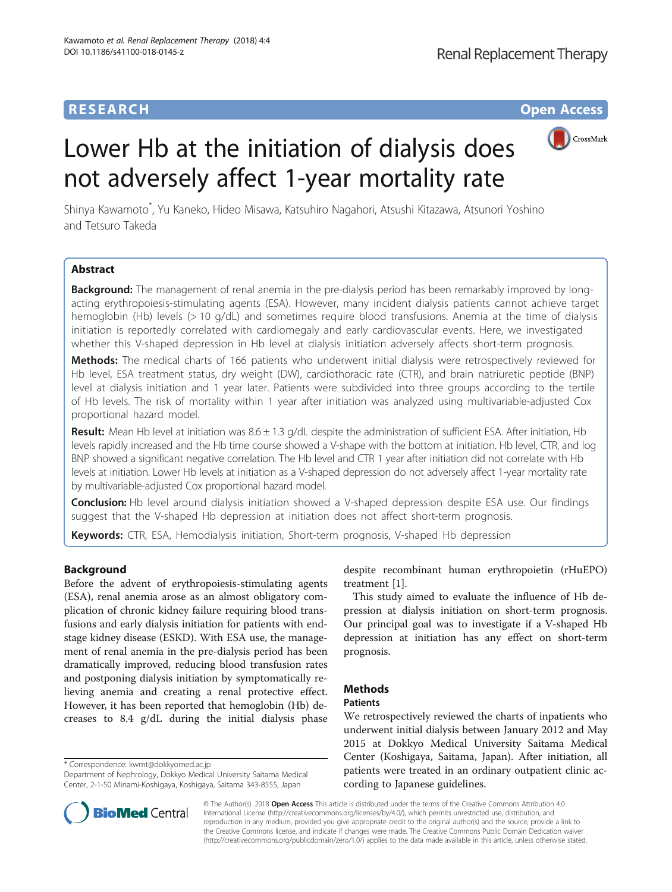

# Lower Hb at the initiation of dialysis does not adversely affect 1-year mortality rate

Shinya Kawamoto<sup>\*</sup>, Yu Kaneko, Hideo Misawa, Katsuhiro Nagahori, Atsushi Kitazawa, Atsunori Yoshino and Tetsuro Takeda

# Abstract

Background: The management of renal anemia in the pre-dialysis period has been remarkably improved by longacting erythropoiesis-stimulating agents (ESA). However, many incident dialysis patients cannot achieve target hemoglobin (Hb) levels (> 10 g/dL) and sometimes require blood transfusions. Anemia at the time of dialysis initiation is reportedly correlated with cardiomegaly and early cardiovascular events. Here, we investigated whether this V-shaped depression in Hb level at dialysis initiation adversely affects short-term prognosis.

Methods: The medical charts of 166 patients who underwent initial dialysis were retrospectively reviewed for Hb level, ESA treatment status, dry weight (DW), cardiothoracic rate (CTR), and brain natriuretic peptide (BNP) level at dialysis initiation and 1 year later. Patients were subdivided into three groups according to the tertile of Hb levels. The risk of mortality within 1 year after initiation was analyzed using multivariable-adjusted Cox proportional hazard model.

Result: Mean Hb level at initiation was  $8.6 \pm 1.3$  g/dL despite the administration of sufficient ESA. After initiation, Hb levels rapidly increased and the Hb time course showed a V-shape with the bottom at initiation. Hb level, CTR, and log BNP showed a significant negative correlation. The Hb level and CTR 1 year after initiation did not correlate with Hb levels at initiation. Lower Hb levels at initiation as a V-shaped depression do not adversely affect 1-year mortality rate by multivariable-adjusted Cox proportional hazard model.

**Conclusion:** Hb level around dialysis initiation showed a V-shaped depression despite ESA use. Our findings suggest that the V-shaped Hb depression at initiation does not affect short-term prognosis.

Keywords: CTR, ESA, Hemodialysis initiation, Short-term prognosis, V-shaped Hb depression

# Background

Before the advent of erythropoiesis-stimulating agents (ESA), renal anemia arose as an almost obligatory complication of chronic kidney failure requiring blood transfusions and early dialysis initiation for patients with endstage kidney disease (ESKD). With ESA use, the management of renal anemia in the pre-dialysis period has been dramatically improved, reducing blood transfusion rates and postponing dialysis initiation by symptomatically relieving anemia and creating a renal protective effect. However, it has been reported that hemoglobin (Hb) decreases to 8.4 g/dL during the initial dialysis phase

\* Correspondence: [kwmt@dokkyomed.ac.jp](mailto:kwmt@dokkyomed.ac.jp)

despite recombinant human erythropoietin (rHuEPO) treatment [[1\]](#page-7-0).

This study aimed to evaluate the influence of Hb depression at dialysis initiation on short-term prognosis. Our principal goal was to investigate if a V-shaped Hb depression at initiation has any effect on short-term prognosis.

# Methods

# Patients

We retrospectively reviewed the charts of inpatients who underwent initial dialysis between January 2012 and May 2015 at Dokkyo Medical University Saitama Medical Center (Koshigaya, Saitama, Japan). After initiation, all patients were treated in an ordinary outpatient clinic according to Japanese guidelines.



© The Author(s). 2018 Open Access This article is distributed under the terms of the Creative Commons Attribution 4.0 International License [\(http://creativecommons.org/licenses/by/4.0/](http://creativecommons.org/licenses/by/4.0/)), which permits unrestricted use, distribution, and reproduction in any medium, provided you give appropriate credit to the original author(s) and the source, provide a link to the Creative Commons license, and indicate if changes were made. The Creative Commons Public Domain Dedication waiver [\(http://creativecommons.org/publicdomain/zero/1.0/](http://creativecommons.org/publicdomain/zero/1.0/)) applies to the data made available in this article, unless otherwise stated.

Department of Nephrology, Dokkyo Medical University Saitama Medical Center, 2-1-50 Minami-Koshigaya, Koshigaya, Saitama 343-8555, Japan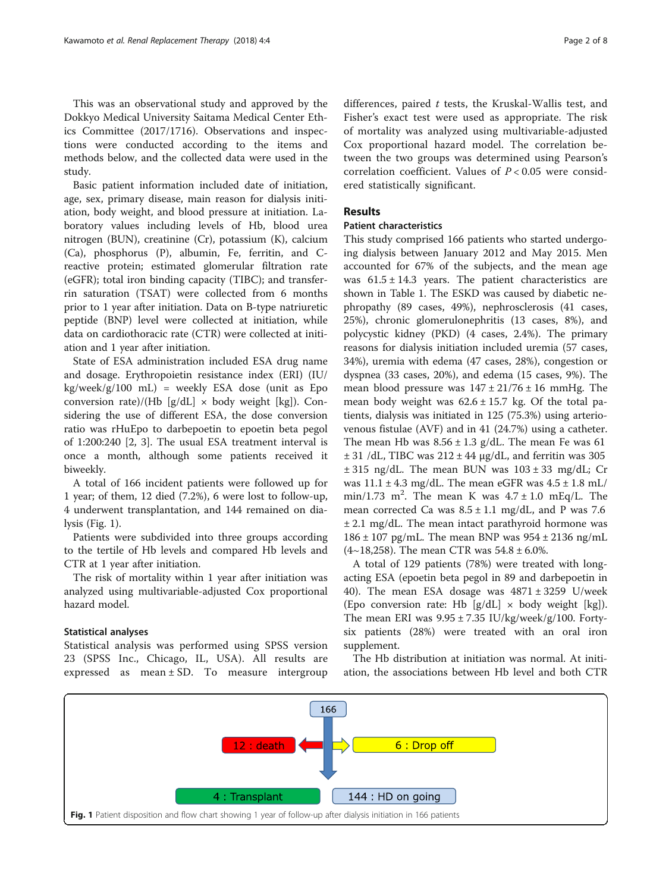This was an observational study and approved by the Dokkyo Medical University Saitama Medical Center Ethics Committee (2017/1716). Observations and inspections were conducted according to the items and methods below, and the collected data were used in the study.

Basic patient information included date of initiation, age, sex, primary disease, main reason for dialysis initiation, body weight, and blood pressure at initiation. Laboratory values including levels of Hb, blood urea nitrogen (BUN), creatinine (Cr), potassium (K), calcium (Ca), phosphorus (P), albumin, Fe, ferritin, and Creactive protein; estimated glomerular filtration rate (eGFR); total iron binding capacity (TIBC); and transferrin saturation (TSAT) were collected from 6 months prior to 1 year after initiation. Data on B-type natriuretic peptide (BNP) level were collected at initiation, while data on cardiothoracic rate (CTR) were collected at initiation and 1 year after initiation.

State of ESA administration included ESA drug name and dosage. Erythropoietin resistance index (ERI) (IU/  $kg/week/g/100$  mL) = weekly ESA dose (unit as Epo conversion rate)/(Hb  $[g/dL] \times$  body weight [kg]). Considering the use of different ESA, the dose conversion ratio was rHuEpo to darbepoetin to epoetin beta pegol of 1:200:240 [\[2](#page-7-0), [3\]](#page-7-0). The usual ESA treatment interval is once a month, although some patients received it biweekly.

A total of 166 incident patients were followed up for 1 year; of them, 12 died (7.2%), 6 were lost to follow-up, 4 underwent transplantation, and 144 remained on dialysis (Fig. 1).

Patients were subdivided into three groups according to the tertile of Hb levels and compared Hb levels and CTR at 1 year after initiation.

The risk of mortality within 1 year after initiation was analyzed using multivariable-adjusted Cox proportional hazard model.

# Statistical analyses

Statistical analysis was performed using SPSS version 23 (SPSS Inc., Chicago, IL, USA). All results are expressed as mean ± SD. To measure intergroup

differences, paired  $t$  tests, the Kruskal-Wallis test, and Fisher's exact test were used as appropriate. The risk of mortality was analyzed using multivariable-adjusted Cox proportional hazard model. The correlation between the two groups was determined using Pearson's correlation coefficient. Values of  $P < 0.05$  were considered statistically significant.

# Results

# Patient characteristics

This study comprised 166 patients who started undergoing dialysis between January 2012 and May 2015. Men accounted for 67% of the subjects, and the mean age was  $61.5 \pm 14.3$  years. The patient characteristics are shown in Table [1.](#page-2-0) The ESKD was caused by diabetic nephropathy (89 cases, 49%), nephrosclerosis (41 cases, 25%), chronic glomerulonephritis (13 cases, 8%), and polycystic kidney (PKD) (4 cases, 2.4%). The primary reasons for dialysis initiation included uremia (57 cases, 34%), uremia with edema (47 cases, 28%), congestion or dyspnea (33 cases, 20%), and edema (15 cases, 9%). The mean blood pressure was  $147 \pm 21/76 \pm 16$  mmHg. The mean body weight was  $62.6 \pm 15.7$  kg. Of the total patients, dialysis was initiated in 125 (75.3%) using arteriovenous fistulae (AVF) and in 41 (24.7%) using a catheter. The mean Hb was  $8.56 \pm 1.3$  g/dL. The mean Fe was 61  $\pm$  31 /dL, TIBC was 212  $\pm$  44 μg/dL, and ferritin was 305  $\pm$  315 ng/dL. The mean BUN was  $103 \pm 33$  mg/dL; Cr was  $11.1 \pm 4.3$  mg/dL. The mean eGFR was  $4.5 \pm 1.8$  mL/ min/1.73 m<sup>2</sup>. The mean K was  $4.7 \pm 1.0$  mEq/L. The mean corrected Ca was  $8.5 \pm 1.1$  mg/dL, and P was 7.6  $\pm$  2.1 mg/dL. The mean intact parathyroid hormone was  $186 \pm 107$  pg/mL. The mean BNP was  $954 \pm 2136$  ng/mL  $(4~18, 258)$ . The mean CTR was  $54.8 \pm 6.0\%$ .

A total of 129 patients (78%) were treated with longacting ESA (epoetin beta pegol in 89 and darbepoetin in 40). The mean ESA dosage was  $4871 \pm 3259$  U/week (Epo conversion rate: Hb  $[g/dL] \times$  body weight  $[kg]$ ). The mean ERI was  $9.95 \pm 7.35$  IU/kg/week/g/100. Fortysix patients (28%) were treated with an oral iron supplement.

The Hb distribution at initiation was normal. At initiation, the associations between Hb level and both CTR

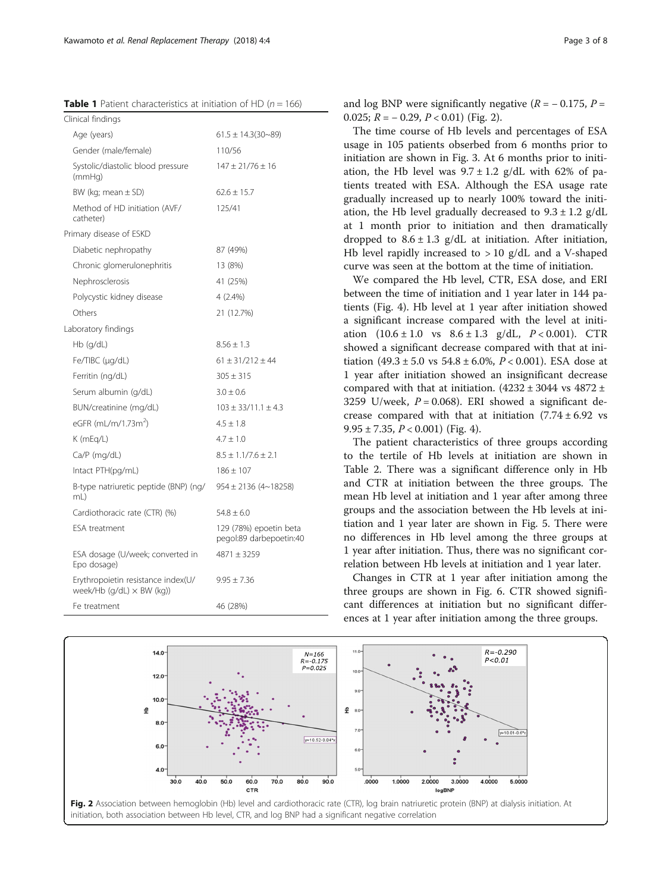<span id="page-2-0"></span>**Table 1** Patient characteristics at initiation of HD ( $n = 166$ )

| Clinical findings                                                      |                                                   |
|------------------------------------------------------------------------|---------------------------------------------------|
| Age (years)                                                            | $61.5 \pm 14.3(30-89)$                            |
| Gender (male/female)                                                   | 110/56                                            |
| Systolic/diastolic blood pressure<br>(mmHq)                            | $147 \pm 21/76 \pm 16$                            |
| BW (kg; mean $\pm$ SD)                                                 | $62.6 \pm 15.7$                                   |
| Method of HD initiation (AVF/<br>catheter)                             | 125/41                                            |
| Primary disease of ESKD                                                |                                                   |
| Diabetic nephropathy                                                   | 87 (49%)                                          |
| Chronic glomerulonephritis                                             | 13 (8%)                                           |
| Nephrosclerosis                                                        | 41 (25%)                                          |
| Polycystic kidney disease                                              | 4 (2.4%)                                          |
| Others                                                                 | 21 (12.7%)                                        |
| Laboratory findings                                                    |                                                   |
| $Hb$ (g/dL)                                                            | $8.56 + 1.3$                                      |
| Fe/TIBC (µg/dL)                                                        | $61 \pm 31/212 \pm 44$                            |
| Ferritin (ng/dL)                                                       | $305 \pm 315$                                     |
| Serum albumin (g/dL)                                                   | $3.0 \pm 0.6$                                     |
| BUN/creatinine (mg/dL)                                                 | $103 \pm 33/11.1 \pm 4.3$                         |
| eGFR (mL/m/1.73m <sup>2</sup> )                                        | $4.5 \pm 1.8$                                     |
| $K$ (mEq/L)                                                            | $4.7 + 1.0$                                       |
| Ca/P (mg/dL)                                                           | $8.5 \pm 1.1/7.6 \pm 2.1$                         |
| Intact PTH(pg/mL)                                                      | $186 \pm 107$                                     |
| B-type natriuretic peptide (BNP) (ng/<br>mL)                           | $954 \pm 2136 (4 \sim 18258)$                     |
| Cardiothoracic rate (CTR) (%)                                          | $54.8 \pm 6.0$                                    |
| <b>FSA treatment</b>                                                   | 129 (78%) epoetin beta<br>pegol:89 darbepoetin:40 |
| ESA dosage (U/week; converted in<br>Epo dosage)                        | $4871 \pm 3259$                                   |
| Erythropoietin resistance index(U/<br>week/Hb $(q/dL) \times BW$ (kg)) | $9.95 \pm 7.36$                                   |
| Fe treatment                                                           | 46 (28%)                                          |

and log BNP were significantly negative ( $R = -0.175$ ,  $P =$ 0.025;  $R = -0.29$ ,  $P < 0.01$ ) (Fig. 2).

The time course of Hb levels and percentages of ESA usage in 105 patients obserbed from 6 months prior to initiation are shown in Fig. [3](#page-3-0). At 6 months prior to initiation, the Hb level was  $9.7 \pm 1.2$  g/dL with 62% of patients treated with ESA. Although the ESA usage rate gradually increased up to nearly 100% toward the initiation, the Hb level gradually decreased to  $9.3 \pm 1.2$  g/dL at 1 month prior to initiation and then dramatically dropped to  $8.6 \pm 1.3$  g/dL at initiation. After initiation, Hb level rapidly increased to  $> 10$  g/dL and a V-shaped curve was seen at the bottom at the time of initiation.

We compared the Hb level, CTR, ESA dose, and ERI between the time of initiation and 1 year later in 144 patients (Fig. [4](#page-3-0)). Hb level at 1 year after initiation showed a significant increase compared with the level at initiation  $(10.6 \pm 1.0 \text{ vs } 8.6 \pm 1.3 \text{ g/dL}, P < 0.001)$ . CTR showed a significant decrease compared with that at initiation  $(49.3 \pm 5.0 \text{ vs } 54.8 \pm 6.0\%, P < 0.001)$ . ESA dose at 1 year after initiation showed an insignificant decrease compared with that at initiation.  $(4232 \pm 3044$  vs  $4872 \pm$ 3259 U/week,  $P = 0.068$ ). ERI showed a significant decrease compared with that at initiation  $(7.74 \pm 6.92 \text{ vs } 10^{-10})$  $9.95 \pm 7.35$ ,  $P < 0.001$ ) (Fig. [4](#page-3-0)).

The patient characteristics of three groups according to the tertile of Hb levels at initiation are shown in Table [2](#page-4-0). There was a significant difference only in Hb and CTR at initiation between the three groups. The mean Hb level at initiation and 1 year after among three groups and the association between the Hb levels at initiation and 1 year later are shown in Fig. [5.](#page-4-0) There were no differences in Hb level among the three groups at 1 year after initiation. Thus, there was no significant correlation between Hb levels at initiation and 1 year later.

Changes in CTR at 1 year after initiation among the three groups are shown in Fig. [6](#page-5-0). CTR showed significant differences at initiation but no significant differences at 1 year after initiation among the three groups.

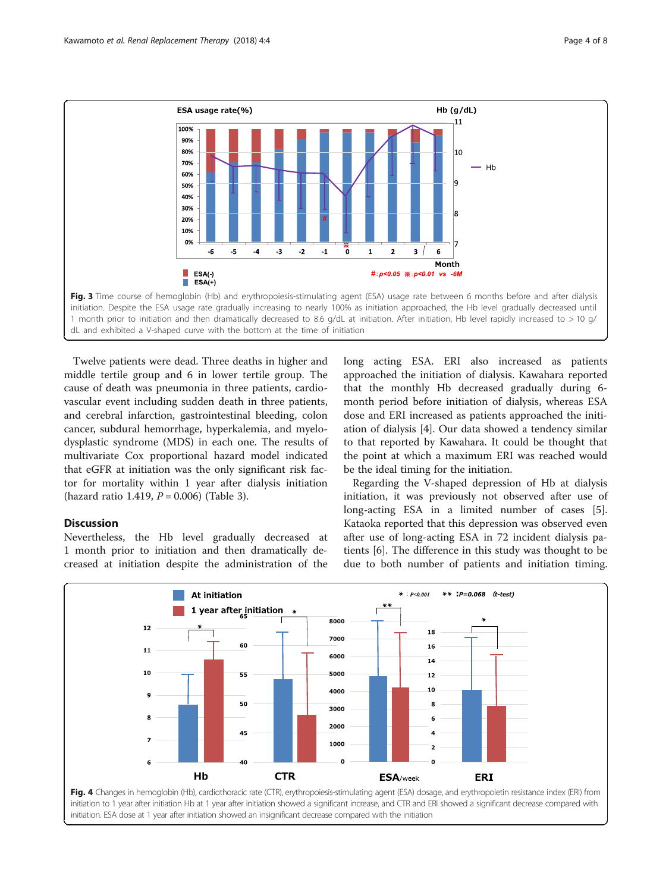<span id="page-3-0"></span>

Twelve patients were dead. Three deaths in higher and middle tertile group and 6 in lower tertile group. The cause of death was pneumonia in three patients, cardiovascular event including sudden death in three patients, and cerebral infarction, gastrointestinal bleeding, colon cancer, subdural hemorrhage, hyperkalemia, and myelodysplastic syndrome (MDS) in each one. The results of multivariate Cox proportional hazard model indicated that eGFR at initiation was the only significant risk factor for mortality within 1 year after dialysis initiation (hazard ratio 1.419,  $P = 0.006$ ) (Table [3](#page-5-0)).

# **Discussion**

Nevertheless, the Hb level gradually decreased at 1 month prior to initiation and then dramatically decreased at initiation despite the administration of the long acting ESA. ERI also increased as patients approached the initiation of dialysis. Kawahara reported that the monthly Hb decreased gradually during 6 month period before initiation of dialysis, whereas ESA dose and ERI increased as patients approached the initiation of dialysis [\[4](#page-7-0)]. Our data showed a tendency similar to that reported by Kawahara. It could be thought that the point at which a maximum ERI was reached would be the ideal timing for the initiation.

Regarding the V-shaped depression of Hb at dialysis initiation, it was previously not observed after use of long-acting ESA in a limited number of cases [\[5](#page-7-0)]. Kataoka reported that this depression was observed even after use of long-acting ESA in 72 incident dialysis patients [[6\]](#page-7-0). The difference in this study was thought to be due to both number of patients and initiation timing.



initiation to 1 year after initiation Hb at 1 year after initiation showed a significant increase, and CTR and ERI showed a significant decrease compared with initiation. ESA dose at 1 year after initiation showed an insignificant decrease compared with the initiation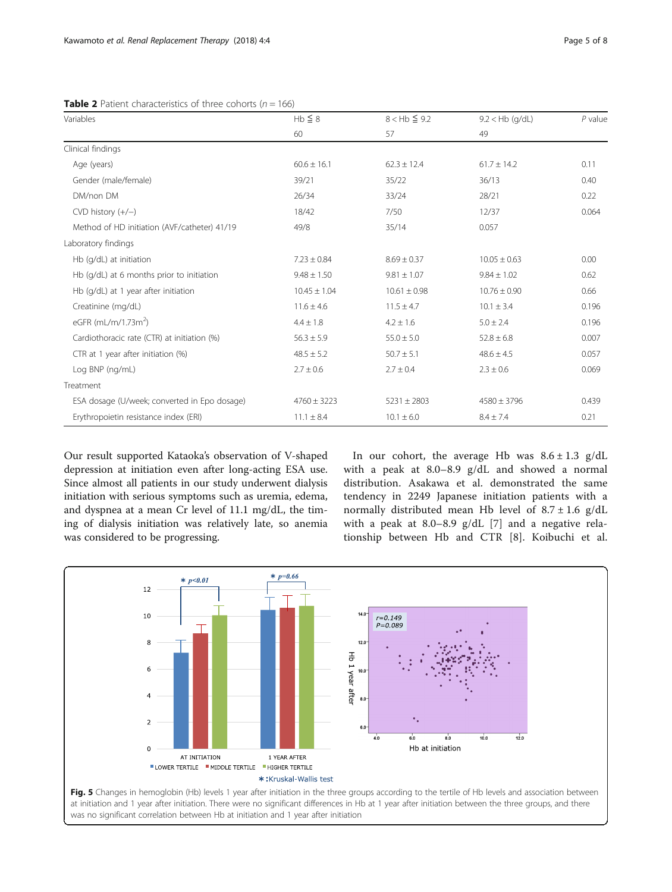<span id="page-4-0"></span>

|  | <b>Table 2</b> Patient characteristics of three cohorts ( $n = 166$ ) |  |  |  |  |
|--|-----------------------------------------------------------------------|--|--|--|--|
|--|-----------------------------------------------------------------------|--|--|--|--|

| Variables                                    | $Hb \leq 8$      | $8 <$ Hb $\leq 9.2$ | $9.2 <$ Hb (g/dL) | $P$ value |  |
|----------------------------------------------|------------------|---------------------|-------------------|-----------|--|
|                                              | 60               | 57                  | 49                |           |  |
| Clinical findings                            |                  |                     |                   |           |  |
| Age (years)                                  | $60.6 \pm 16.1$  | $62.3 \pm 12.4$     | $61.7 \pm 14.2$   | 0.11      |  |
| Gender (male/female)                         | 39/21            | 35/22               | 36/13             | 0.40      |  |
| DM/non DM                                    | 26/34            | 33/24               | 28/21             | 0.22      |  |
| $CVD$ history $(+/-)$                        | 18/42            | 7/50                | 12/37             | 0.064     |  |
| Method of HD initiation (AVF/catheter) 41/19 | 49/8             | 35/14               | 0.057             |           |  |
| Laboratory findings                          |                  |                     |                   |           |  |
| Hb (g/dL) at initiation                      | $7.23 \pm 0.84$  | $8.69 \pm 0.37$     | $10.05 \pm 0.63$  | 0.00      |  |
| Hb (g/dL) at 6 months prior to initiation    | $9.48 \pm 1.50$  | $9.81 \pm 1.07$     | $9.84 \pm 1.02$   | 0.62      |  |
| Hb (g/dL) at 1 year after initiation         | $10.45 \pm 1.04$ | $10.61 \pm 0.98$    | $10.76 \pm 0.90$  | 0.66      |  |
| Creatinine (mg/dL)                           | $11.6 \pm 4.6$   | $11.5 \pm 4.7$      | $10.1 \pm 3.4$    | 0.196     |  |
| eGFR (mL/m/1.73m <sup>2</sup> )              | $4.4 \pm 1.8$    | $4.2 \pm 1.6$       | $5.0 \pm 2.4$     | 0.196     |  |
| Cardiothoracic rate (CTR) at initiation (%)  | $56.3 \pm 5.9$   | $55.0 \pm 5.0$      | $52.8 \pm 6.8$    | 0.007     |  |
| CTR at 1 year after initiation (%)           | $48.5 \pm 5.2$   | $50.7 \pm 5.1$      | $48.6 \pm 4.5$    | 0.057     |  |
| Log BNP (ng/mL)                              | $2.7 \pm 0.6$    | $2.7 \pm 0.4$       | $2.3 \pm 0.6$     | 0.069     |  |
| Treatment                                    |                  |                     |                   |           |  |
| ESA dosage (U/week; converted in Epo dosage) | $4760 \pm 3223$  | $5231 \pm 2803$     | $4580 \pm 3796$   | 0.439     |  |
| Erythropoietin resistance index (ERI)        | $11.1 \pm 8.4$   | $10.1 \pm 6.0$      | $8.4 \pm 7.4$     | 0.21      |  |

Our result supported Kataoka's observation of V-shaped depression at initiation even after long-acting ESA use. Since almost all patients in our study underwent dialysis initiation with serious symptoms such as uremia, edema, and dyspnea at a mean Cr level of 11.1 mg/dL, the timing of dialysis initiation was relatively late, so anemia was considered to be progressing.

In our cohort, the average Hb was  $8.6 \pm 1.3$  g/dL with a peak at 8.0–8.9 g/dL and showed a normal distribution. Asakawa et al. demonstrated the same tendency in 2249 Japanese initiation patients with a normally distributed mean Hb level of  $8.7 \pm 1.6$  g/dL with a peak at 8.0–8.9 g/dL [\[7](#page-7-0)] and a negative relationship between Hb and CTR [[8\]](#page-7-0). Koibuchi et al.

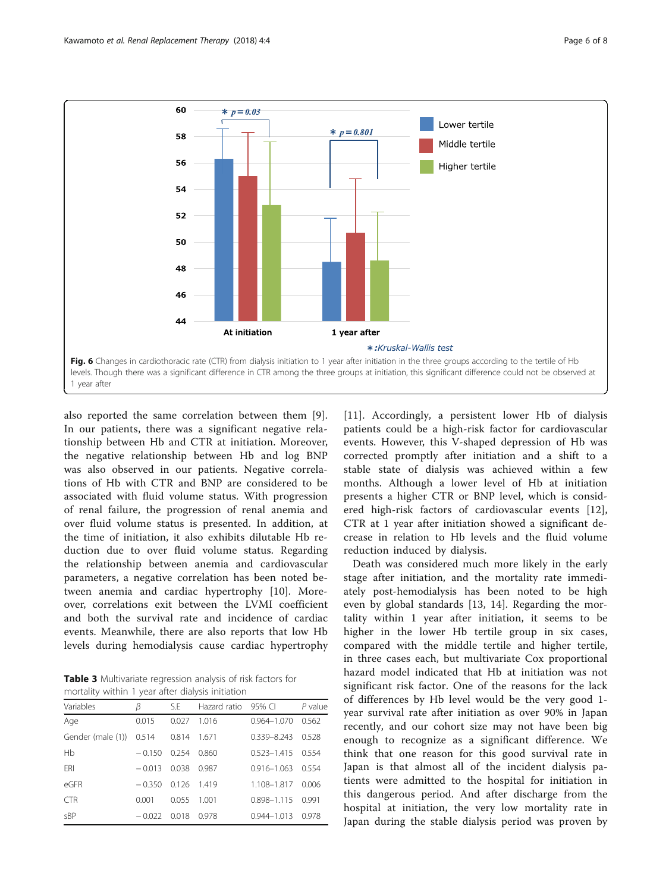<span id="page-5-0"></span>

also reported the same correlation between them [\[9](#page-7-0)]. In our patients, there was a significant negative relationship between Hb and CTR at initiation. Moreover, the negative relationship between Hb and log BNP was also observed in our patients. Negative correlations of Hb with CTR and BNP are considered to be associated with fluid volume status. With progression of renal failure, the progression of renal anemia and over fluid volume status is presented. In addition, at the time of initiation, it also exhibits dilutable Hb reduction due to over fluid volume status. Regarding the relationship between anemia and cardiovascular parameters, a negative correlation has been noted between anemia and cardiac hypertrophy [\[10](#page-7-0)]. Moreover, correlations exit between the LVMI coefficient and both the survival rate and incidence of cardiac events. Meanwhile, there are also reports that low Hb levels during hemodialysis cause cardiac hypertrophy

Table 3 Multivariate regression analysis of risk factors for mortality within 1 year after dialysis initiation

| Variables                     | β              | S.F   | Hazard ratio 95% CI |                         | $P$ value |
|-------------------------------|----------------|-------|---------------------|-------------------------|-----------|
| Age                           | 0.015          | 0.027 | 1.016               | $0.964 - 1.070$         | 0.562     |
| Gender (male (1)) 0.514 0.814 |                |       | 1.671               | 0.339-8.243             | 0.528     |
| Hb                            | $-0.150$       | 0.254 | 0.860               | $0.523 - 1.415$ $0.554$ |           |
| ERI                           | $-0.013$       | 0.038 | 0.987               | $0.916 - 1.063$         | O 554     |
| eGFR                          | $-0.350$       | 0.126 | 1419                | 1.108-1.817             | 0.006     |
| <b>CTR</b>                    | 0.001          | 0.055 | 1.001               | $0.898 - 1.115$ 0.991   |           |
| sBP                           | $-0.022$ 0.018 |       | 0.978               | $0.944 - 1.013$         | 0.978     |

[[11\]](#page-7-0). Accordingly, a persistent lower Hb of dialysis patients could be a high-risk factor for cardiovascular events. However, this V-shaped depression of Hb was corrected promptly after initiation and a shift to a stable state of dialysis was achieved within a few months. Although a lower level of Hb at initiation presents a higher CTR or BNP level, which is considered high-risk factors of cardiovascular events [\[12](#page-7-0)], CTR at 1 year after initiation showed a significant decrease in relation to Hb levels and the fluid volume reduction induced by dialysis.

Death was considered much more likely in the early stage after initiation, and the mortality rate immediately post-hemodialysis has been noted to be high even by global standards [\[13](#page-7-0), [14\]](#page-7-0). Regarding the mortality within 1 year after initiation, it seems to be higher in the lower Hb tertile group in six cases, compared with the middle tertile and higher tertile, in three cases each, but multivariate Cox proportional hazard model indicated that Hb at initiation was not significant risk factor. One of the reasons for the lack of differences by Hb level would be the very good 1 year survival rate after initiation as over 90% in Japan recently, and our cohort size may not have been big enough to recognize as a significant difference. We think that one reason for this good survival rate in Japan is that almost all of the incident dialysis patients were admitted to the hospital for initiation in this dangerous period. And after discharge from the hospital at initiation, the very low mortality rate in Japan during the stable dialysis period was proven by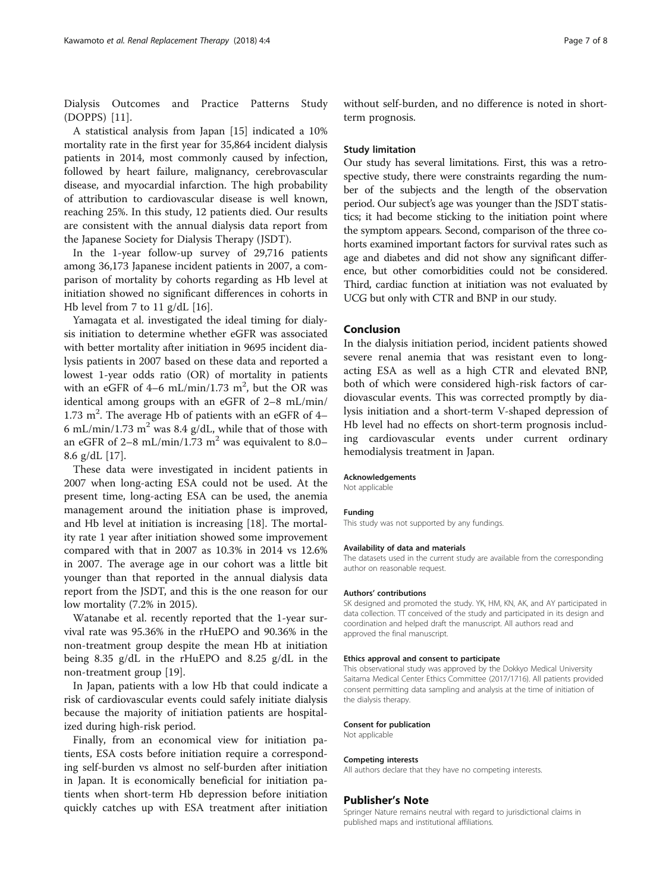Dialysis Outcomes and Practice Patterns Study (DOPPS) [[11\]](#page-7-0).

A statistical analysis from Japan [[15\]](#page-7-0) indicated a 10% mortality rate in the first year for 35,864 incident dialysis patients in 2014, most commonly caused by infection, followed by heart failure, malignancy, cerebrovascular disease, and myocardial infarction. The high probability of attribution to cardiovascular disease is well known, reaching 25%. In this study, 12 patients died. Our results are consistent with the annual dialysis data report from the Japanese Society for Dialysis Therapy (JSDT).

In the 1-year follow-up survey of 29,716 patients among 36,173 Japanese incident patients in 2007, a comparison of mortality by cohorts regarding as Hb level at initiation showed no significant differences in cohorts in Hb level from 7 to 11 g/dL [\[16](#page-7-0)].

Yamagata et al. investigated the ideal timing for dialysis initiation to determine whether eGFR was associated with better mortality after initiation in 9695 incident dialysis patients in 2007 based on these data and reported a lowest 1-year odds ratio (OR) of mortality in patients with an eGFR of 4–6 mL/min/1.73 m<sup>2</sup>, but the OR was identical among groups with an eGFR of 2–8 mL/min/ 1.73  $m^2$ . The average Hb of patients with an eGFR of 4-6 mL/min/1.73 m<sup>2</sup> was 8.4 g/dL, while that of those with an eGFR of  $2-8$  mL/min/1.73 m<sup>2</sup> was equivalent to 8.0– 8.6 g/dL [[17\]](#page-7-0).

These data were investigated in incident patients in 2007 when long-acting ESA could not be used. At the present time, long-acting ESA can be used, the anemia management around the initiation phase is improved, and Hb level at initiation is increasing [[18\]](#page-7-0). The mortality rate 1 year after initiation showed some improvement compared with that in 2007 as 10.3% in 2014 vs 12.6% in 2007. The average age in our cohort was a little bit younger than that reported in the annual dialysis data report from the JSDT, and this is the one reason for our low mortality (7.2% in 2015).

Watanabe et al. recently reported that the 1-year survival rate was 95.36% in the rHuEPO and 90.36% in the non-treatment group despite the mean Hb at initiation being 8.35 g/dL in the rHuEPO and 8.25 g/dL in the non-treatment group [\[19](#page-7-0)].

In Japan, patients with a low Hb that could indicate a risk of cardiovascular events could safely initiate dialysis because the majority of initiation patients are hospitalized during high-risk period.

Finally, from an economical view for initiation patients, ESA costs before initiation require a corresponding self-burden vs almost no self-burden after initiation in Japan. It is economically beneficial for initiation patients when short-term Hb depression before initiation quickly catches up with ESA treatment after initiation

without self-burden, and no difference is noted in shortterm prognosis.

## Study limitation

Our study has several limitations. First, this was a retrospective study, there were constraints regarding the number of the subjects and the length of the observation period. Our subject's age was younger than the JSDT statistics; it had become sticking to the initiation point where the symptom appears. Second, comparison of the three cohorts examined important factors for survival rates such as age and diabetes and did not show any significant difference, but other comorbidities could not be considered. Third, cardiac function at initiation was not evaluated by UCG but only with CTR and BNP in our study.

### Conclusion

In the dialysis initiation period, incident patients showed severe renal anemia that was resistant even to longacting ESA as well as a high CTR and elevated BNP, both of which were considered high-risk factors of cardiovascular events. This was corrected promptly by dialysis initiation and a short-term V-shaped depression of Hb level had no effects on short-term prognosis including cardiovascular events under current ordinary hemodialysis treatment in Japan.

## Acknowledgements

Not applicable

#### Funding

This study was not supported by any fundings.

#### Availability of data and materials

The datasets used in the current study are available from the corresponding author on reasonable request.

#### Authors' contributions

SK designed and promoted the study. YK, HM, KN, AK, and AY participated in data collection. TT conceived of the study and participated in its design and coordination and helped draft the manuscript. All authors read and approved the final manuscript.

## Ethics approval and consent to participate

This observational study was approved by the Dokkyo Medical University Saitama Medical Center Ethics Committee (2017/1716). All patients provided consent permitting data sampling and analysis at the time of initiation of the dialysis therapy.

#### Consent for publication

Not applicable

#### Competing interests

All authors declare that they have no competing interests.

## Publisher's Note

Springer Nature remains neutral with regard to jurisdictional claims in published maps and institutional affiliations.